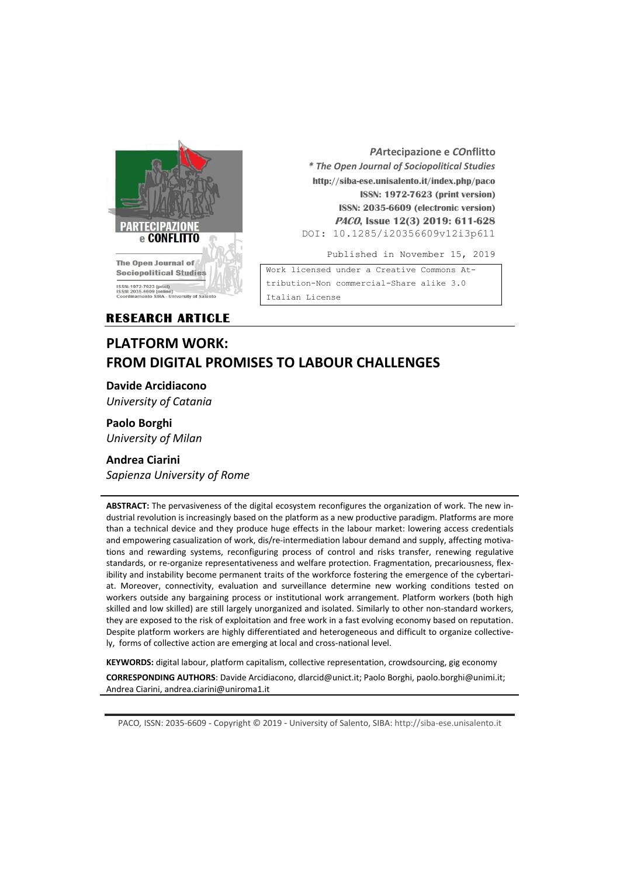

*PA***rtecipazione e** *CO***nflitto** *\* The Open Journal of Sociopolitical Studies* **http://siba-ese.unisalento.it/index.php/paco ISSN: 1972-7623 (print version) ISSN: 2035-6609 (electronic version) PACO, Issue 12(3) 2019: 611-628**  DOI: 10.1285/i20356609v12i3p611

Published in November 15, 2019

Work licensed under a [Creative Commons At](http://creativecommons.org/licenses/by-nc-nd/3.0/it/)[tribution-Non commercial-Share alike 3.0](http://creativecommons.org/licenses/by-nc-nd/3.0/it/)  [Italian License](http://creativecommons.org/licenses/by-nc-nd/3.0/it/) 

**RESEARCH ARTICLE** 

# **PLATFORM WORK: FROM DIGITAL PROMISES TO LABOUR CHALLENGES**

**Davide Arcidiacono**

*University of Catania*

**Paolo Borghi** *University of Milan*

## **Andrea Ciarini** *Sapienza University of Rome*

**ABSTRACT:** The pervasiveness of the digital ecosystem reconfigures the organization of work. The new industrial revolution is increasingly based on the platform as a new productive paradigm. Platforms are more than a technical device and they produce huge effects in the labour market: lowering access credentials and empowering casualization of work, dis/re-intermediation labour demand and supply, affecting motivations and rewarding systems, reconfiguring process of control and risks transfer, renewing regulative standards, or re-organize representativeness and welfare protection. Fragmentation, precariousness, flexibility and instability become permanent traits of the workforce fostering the emergence of the cybertariat. Moreover, connectivity, evaluation and surveillance determine new working conditions tested on workers outside any bargaining process or institutional work arrangement. Platform workers (both high skilled and low skilled) are still largely unorganized and isolated. Similarly to other non-standard workers, they are exposed to the risk of exploitation and free work in a fast evolving economy based on reputation. Despite platform workers are highly differentiated and heterogeneous and difficult to organize collectively, forms of collective action are emerging at local and cross-national level.

**KEYWORDS:** digital labour, platform capitalism, collective representation, crowdsourcing, gig economy

**CORRESPONDING AUTHORS**: Davide Arcidiacono, dlarcid@unict.it; Paolo Borghi, paolo.borghi@unimi.it; Andrea Ciarini, andrea.ciarini@uniroma1.it

PACO*,* ISSN: 2035-6609 - Copyright © 2019 - University of Salento, SIBA: http://siba-ese.unisalento.it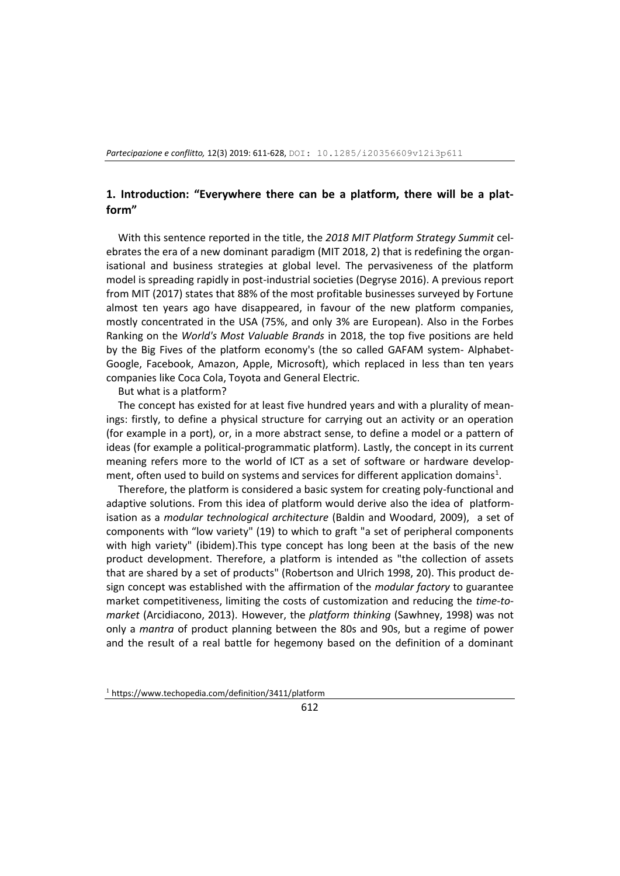### **1. Introduction: "Everywhere there can be a platform, there will be a platform"**

With this sentence reported in the title, the *2018 MIT Platform Strategy Summit* celebrates the era of a new dominant paradigm (MIT 2018, 2) that is redefining the organisational and business strategies at global level. The pervasiveness of the platform model is spreading rapidly in post-industrial societies (Degryse 2016). A previous report from MIT (2017) states that 88% of the most profitable businesses surveyed by Fortune almost ten years ago have disappeared, in favour of the new platform companies, mostly concentrated in the USA (75%, and only 3% are European). Also in the Forbes Ranking on the *World's Most Valuable Brands* in 2018, the top five positions are held by the Big Fives of the platform economy's (the so called GAFAM system- Alphabet-Google, Facebook, Amazon, Apple, Microsoft), which replaced in less than ten years companies like Coca Cola, Toyota and General Electric.

But what is a platform?

The concept has existed for at least five hundred years and with a plurality of meanings: firstly, to define a physical structure for carrying out an activity or an operation (for example in a port), or, in a more abstract sense, to define a model or a pattern of ideas (for example a political-programmatic platform). Lastly, the concept in its current meaning refers more to the world of ICT as a set of software or hardware development, often used to build on systems and services for different application domains<sup>1</sup>.

Therefore, the platform is considered a basic system for creating poly-functional and adaptive solutions. From this idea of platform would derive also the idea of platformisation as a *modular technological architecture* (Baldin and Woodard, 2009), a set of components with "low variety" (19) to which to graft "a set of peripheral components with high variety" (ibidem).This type concept has long been at the basis of the new product development. Therefore, a platform is intended as "the collection of assets that are shared by a set of products" (Robertson and Ulrich 1998, 20). This product design concept was established with the affirmation of the *modular factory* to guarantee market competitiveness, limiting the costs of customization and reducing the *time-tomarket* (Arcidiacono, 2013). However, the *platform thinking* (Sawhney, 1998) was not only a *mantra* of product planning between the 80s and 90s, but a regime of power and the result of a real battle for hegemony based on the definition of a dominant

<sup>1</sup> https://www.techopedia.com/definition/3411/platform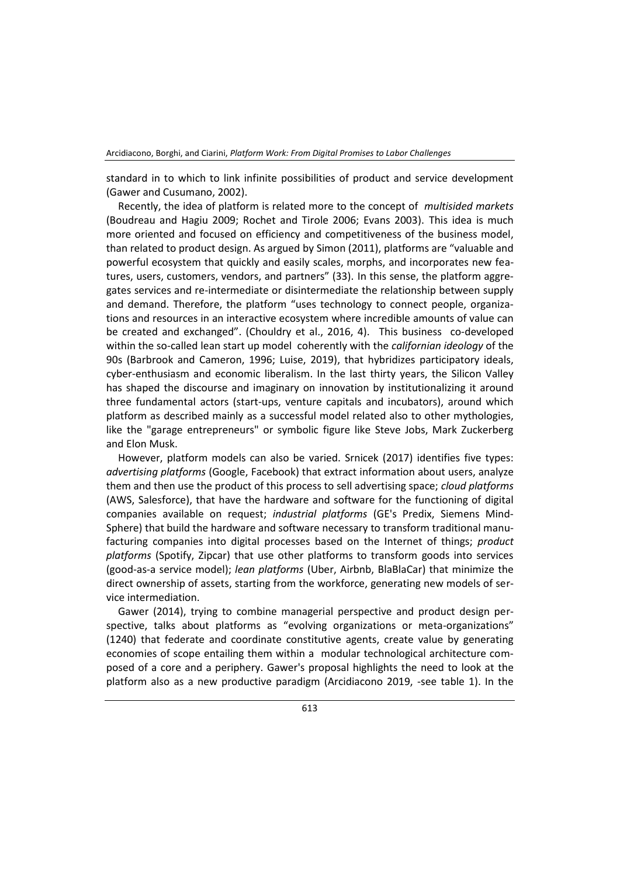standard in to which to link infinite possibilities of product and service development (Gawer and Cusumano, 2002).

Recently, the idea of platform is related more to the concept of *multisided markets* (Boudreau and Hagiu 2009; Rochet and Tirole 2006; Evans 2003). This idea is much more oriented and focused on efficiency and competitiveness of the business model, than related to product design. As argued by Simon (2011), platforms are "valuable and powerful ecosystem that quickly and easily scales, morphs, and incorporates new features, users, customers, vendors, and partners" (33). In this sense, the platform aggregates services and re-intermediate or disintermediate the relationship between supply and demand. Therefore, the platform "uses technology to connect people, organizations and resources in an interactive ecosystem where incredible amounts of value can be created and exchanged". (Chouldry et al., 2016, 4). This business co-developed within the so-called lean start up model coherently with the *californian ideology* of the 90s (Barbrook and Cameron, 1996; Luise, 2019), that hybridizes participatory ideals, cyber-enthusiasm and economic liberalism. In the last thirty years, the Silicon Valley has shaped the discourse and imaginary on innovation by institutionalizing it around three fundamental actors (start-ups, venture capitals and incubators), around which platform as described mainly as a successful model related also to other mythologies, like the "garage entrepreneurs" or symbolic figure like Steve Jobs, Mark Zuckerberg and Elon Musk.

However, platform models can also be varied. Srnicek (2017) identifies five types: *advertising platforms* (Google, Facebook) that extract information about users, analyze them and then use the product of this process to sell advertising space; *cloud platforms* (AWS, Salesforce), that have the hardware and software for the functioning of digital companies available on request; *industrial platforms* (GE's Predix, Siemens Mind-Sphere) that build the hardware and software necessary to transform traditional manufacturing companies into digital processes based on the Internet of things; *product platforms* (Spotify, Zipcar) that use other platforms to transform goods into services (good-as-a service model); *lean platforms* (Uber, Airbnb, BlaBlaCar) that minimize the direct ownership of assets, starting from the workforce, generating new models of service intermediation.

Gawer (2014), trying to combine managerial perspective and product design perspective, talks about platforms as "evolving organizations or meta-organizations" (1240) that federate and coordinate constitutive agents, create value by generating economies of scope entailing them within a modular technological architecture composed of a core and a periphery. Gawer's proposal highlights the need to look at the platform also as a new productive paradigm (Arcidiacono 2019, -see table 1). In the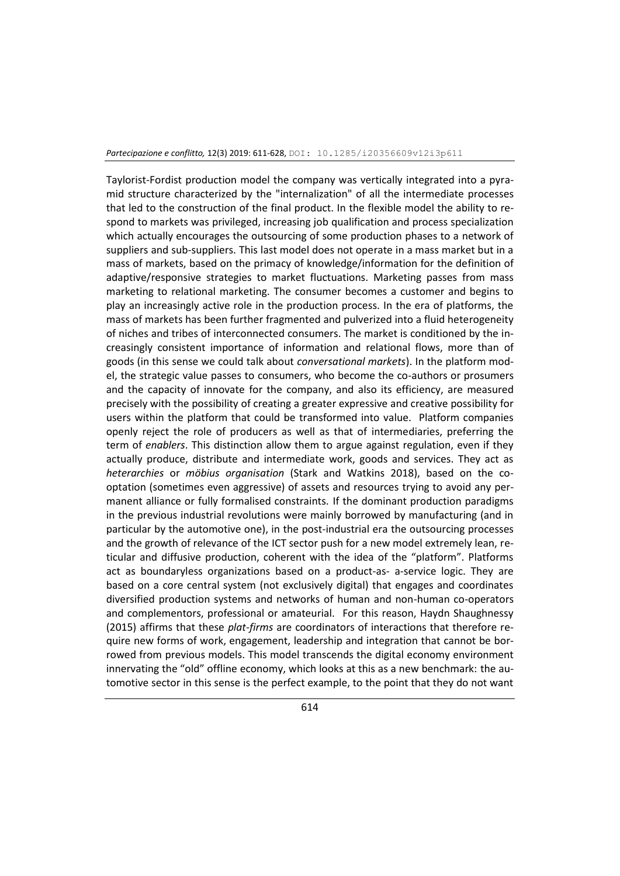Taylorist-Fordist production model the company was vertically integrated into a pyramid structure characterized by the "internalization" of all the intermediate processes that led to the construction of the final product. In the flexible model the ability to respond to markets was privileged, increasing job qualification and process specialization which actually encourages the outsourcing of some production phases to a network of suppliers and sub-suppliers. This last model does not operate in a mass market but in a mass of markets, based on the primacy of knowledge/information for the definition of adaptive/responsive strategies to market fluctuations. Marketing passes from mass marketing to relational marketing. The consumer becomes a customer and begins to play an increasingly active role in the production process. In the era of platforms, the mass of markets has been further fragmented and pulverized into a fluid heterogeneity of niches and tribes of interconnected consumers. The market is conditioned by the increasingly consistent importance of information and relational flows, more than of goods (in this sense we could talk about *conversational markets*). In the platform model, the strategic value passes to consumers, who become the co-authors or prosumers and the capacity of innovate for the company, and also its efficiency, are measured precisely with the possibility of creating a greater expressive and creative possibility for users within the platform that could be transformed into value. Platform companies openly reject the role of producers as well as that of intermediaries, preferring the term of *enablers*. This distinction allow them to argue against regulation, even if they actually produce, distribute and intermediate work, goods and services. They act as *heterarchies* or *möbius organisation* (Stark and Watkins 2018), based on the cooptation (sometimes even aggressive) of assets and resources trying to avoid any permanent alliance or fully formalised constraints. If the dominant production paradigms in the previous industrial revolutions were mainly borrowed by manufacturing (and in particular by the automotive one), in the post-industrial era the outsourcing processes and the growth of relevance of the ICT sector push for a new model extremely lean, reticular and diffusive production, coherent with the idea of the "platform". Platforms act as boundaryless organizations based on a product-as- a-service logic. They are based on a core central system (not exclusively digital) that engages and coordinates diversified production systems and networks of human and non-human co-operators and complementors, professional or amateurial. For this reason, Haydn Shaughnessy (2015) affirms that these *plat-firms* are coordinators of interactions that therefore require new forms of work, engagement, leadership and integration that cannot be borrowed from previous models. This model transcends the digital economy environment innervating the "old" offline economy, which looks at this as a new benchmark: the automotive sector in this sense is the perfect example, to the point that they do not want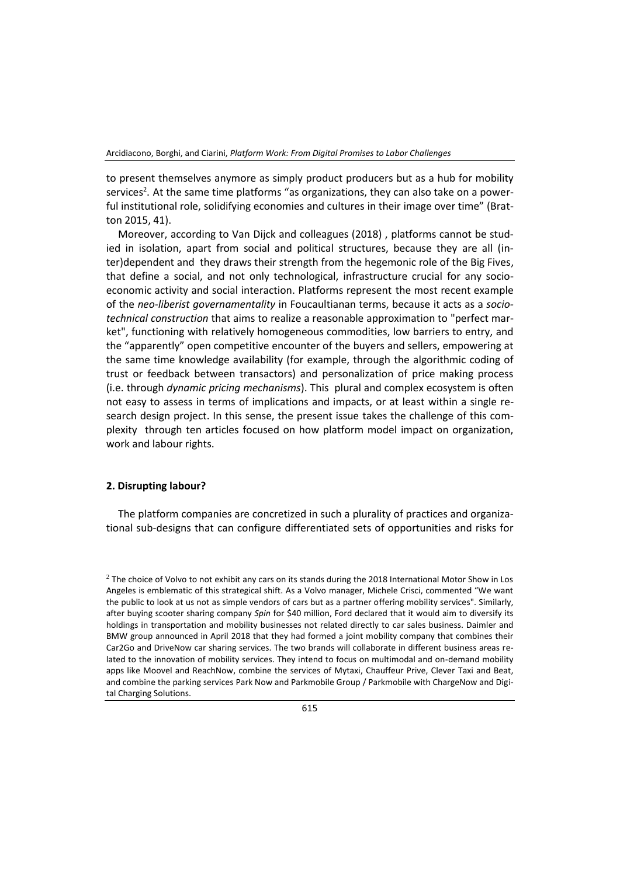to present themselves anymore as simply product producers but as a hub for mobility services<sup>2</sup>. At the same time platforms "as organizations, they can also take on a powerful institutional role, solidifying economies and cultures in their image over time" (Bratton 2015, 41).

Moreover, according to Van Dijck and colleagues (2018) , platforms cannot be studied in isolation, apart from social and political structures, because they are all (inter)dependent and they draws their strength from the hegemonic role of the Big Fives, that define a social, and not only technological, infrastructure crucial for any socioeconomic activity and social interaction. Platforms represent the most recent example of the *neo-liberist governamentality* in Foucaultianan terms, because it acts as a *sociotechnical construction* that aims to realize a reasonable approximation to "perfect market", functioning with relatively homogeneous commodities, low barriers to entry, and the "apparently" open competitive encounter of the buyers and sellers, empowering at the same time knowledge availability (for example, through the algorithmic coding of trust or feedback between transactors) and personalization of price making process (i.e. through *dynamic pricing mechanisms*). This plural and complex ecosystem is often not easy to assess in terms of implications and impacts, or at least within a single research design project. In this sense, the present issue takes the challenge of this complexity through ten articles focused on how platform model impact on organization, work and labour rights.

#### **2. Disrupting labour?**

The platform companies are concretized in such a plurality of practices and organizational sub-designs that can configure differentiated sets of opportunities and risks for

 $<sup>2</sup>$  The choice of Volvo to not exhibit any cars on its stands during the 2018 International Motor Show in Los</sup> Angeles is emblematic of this strategical shift. As a Volvo manager, Michele Crisci, commented "We want the public to look at us not as simple vendors of cars but as a partner offering mobility services". Similarly, after buying scooter sharing company *Spin* for \$40 million, Ford declared that it would aim to diversify its holdings in transportation and mobility businesses not related directly to car sales business. Daimler and BMW group announced in April 2018 that they had formed a joint mobility company that combines their Car2Go and DriveNow car sharing services. The two brands will collaborate in different business areas related to the innovation of mobility services. They intend to focus on multimodal and on-demand mobility apps like Moovel and ReachNow, combine the services of Mytaxi, Chauffeur Prive, Clever Taxi and Beat, and combine the parking services Park Now and Parkmobile Group / Parkmobile with ChargeNow and Digital Charging Solutions.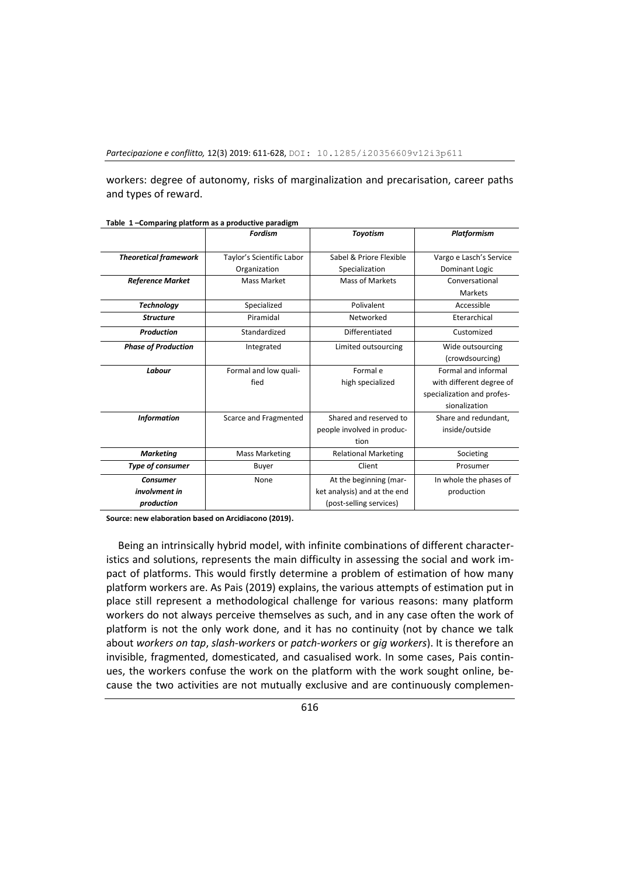workers: degree of autonomy, risks of marginalization and precarisation, career paths and types of reward.

|                              | <b>Fordism</b>            | <b>Toyotism</b>              | <b>Platformism</b>         |
|------------------------------|---------------------------|------------------------------|----------------------------|
|                              |                           |                              |                            |
| <b>Theoretical framework</b> | Taylor's Scientific Labor | Sabel & Priore Flexible      | Vargo e Lasch's Service    |
|                              | Organization              | Specialization               | Dominant Logic             |
| <b>Reference Market</b>      | <b>Mass Market</b>        | <b>Mass of Markets</b>       | Conversational             |
|                              |                           |                              | Markets                    |
| <b>Technology</b>            | Specialized               | Polivalent                   | Accessible                 |
| <b>Structure</b>             | Piramidal                 | Networked                    | Eterarchical               |
| <b>Production</b>            | Standardized              | Differentiated               | Customized                 |
| <b>Phase of Production</b>   | Integrated                | Limited outsourcing          | Wide outsourcing           |
|                              |                           |                              | (crowdsourcing)            |
| Labour                       | Formal and low quali-     | Formal e                     | Formal and informal        |
|                              | fied                      | high specialized             | with different degree of   |
|                              |                           |                              | specialization and profes- |
|                              |                           |                              | sionalization              |
| <b>Information</b>           | Scarce and Fragmented     | Shared and reserved to       | Share and redundant.       |
|                              |                           | people involved in produc-   | inside/outside             |
|                              |                           | tion                         |                            |
| <b>Marketing</b>             | <b>Mass Marketing</b>     | <b>Relational Marketing</b>  | Societing                  |
| Type of consumer             | Buyer                     | Client                       | Prosumer                   |
| <b>Consumer</b>              | None                      | At the beginning (mar-       | In whole the phases of     |
| involvment in                |                           | ket analysis) and at the end | production                 |
| production                   |                           | (post-selling services)      |                            |

**Table 1 –Comparing platform as a productive paradigm**

**Source: new elaboration based on Arcidiacono (2019)**.

Being an intrinsically hybrid model, with infinite combinations of different characteristics and solutions, represents the main difficulty in assessing the social and work impact of platforms. This would firstly determine a problem of estimation of how many platform workers are. As Pais (2019) explains, the various attempts of estimation put in place still represent a methodological challenge for various reasons: many platform workers do not always perceive themselves as such, and in any case often the work of platform is not the only work done, and it has no continuity (not by chance we talk about *workers on tap*, *slash-workers* or *patch-workers* or *gig workers*). It is therefore an invisible, fragmented, domesticated, and casualised work. In some cases, Pais continues, the workers confuse the work on the platform with the work sought online, because the two activities are not mutually exclusive and are continuously complemen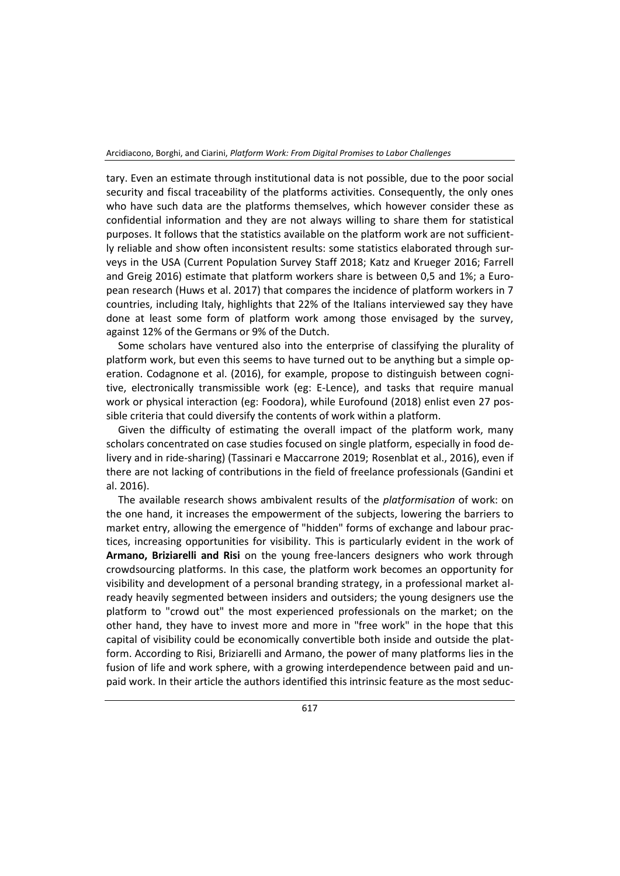tary. Even an estimate through institutional data is not possible, due to the poor social security and fiscal traceability of the platforms activities. Consequently, the only ones who have such data are the platforms themselves, which however consider these as confidential information and they are not always willing to share them for statistical purposes. It follows that the statistics available on the platform work are not sufficiently reliable and show often inconsistent results: some statistics elaborated through surveys in the USA (Current Population Survey Staff 2018; Katz and Krueger 2016; Farrell and Greig 2016) estimate that platform workers share is between 0,5 and 1%; a European research (Huws et al. 2017) that compares the incidence of platform workers in 7 countries, including Italy, highlights that 22% of the Italians interviewed say they have done at least some form of platform work among those envisaged by the survey, against 12% of the Germans or 9% of the Dutch.

Some scholars have ventured also into the enterprise of classifying the plurality of platform work, but even this seems to have turned out to be anything but a simple operation. Codagnone et al. (2016), for example, propose to distinguish between cognitive, electronically transmissible work (eg: E-Lence), and tasks that require manual work or physical interaction (eg: Foodora), while Eurofound (2018) enlist even 27 possible criteria that could diversify the contents of work within a platform.

Given the difficulty of estimating the overall impact of the platform work, many scholars concentrated on case studies focused on single platform, especially in food delivery and in ride-sharing) (Tassinari e Maccarrone 2019; Rosenblat et al., 2016), even if there are not lacking of contributions in the field of freelance professionals (Gandini et al. 2016).

The available research shows ambivalent results of the *platformisation* of work: on the one hand, it increases the empowerment of the subjects, lowering the barriers to market entry, allowing the emergence of "hidden" forms of exchange and labour practices, increasing opportunities for visibility. This is particularly evident in the work of **Armano, Briziarelli and Risi** on the young free-lancers designers who work through crowdsourcing platforms. In this case, the platform work becomes an opportunity for visibility and development of a personal branding strategy, in a professional market already heavily segmented between insiders and outsiders; the young designers use the platform to "crowd out" the most experienced professionals on the market; on the other hand, they have to invest more and more in "free work" in the hope that this capital of visibility could be economically convertible both inside and outside the platform. According to Risi, Briziarelli and Armano, the power of many platforms lies in the fusion of life and work sphere, with a growing interdependence between paid and unpaid work. In their article the authors identified this intrinsic feature as the most seduc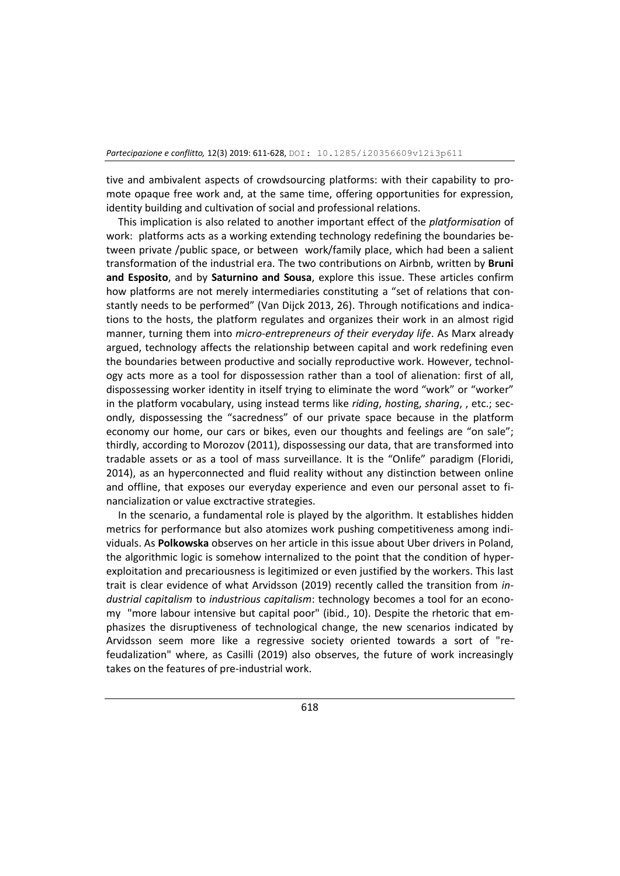tive and ambivalent aspects of crowdsourcing platforms: with their capability to promote opaque free work and, at the same time, offering opportunities for expression, identity building and cultivation of social and professional relations.

This implication is also related to another important effect of the *platformisation* of work: platforms acts as a working extending technology redefining the boundaries between private /public space, or between work/family place, which had been a salient transformation of the industrial era. The two contributions on Airbnb, written by **Bruni and Esposito**, and by **Saturnino and Sousa**, explore this issue. These articles confirm how platforms are not merely intermediaries constituting a "set of relations that constantly needs to be performed" (Van Dijck 2013, 26). Through notifications and indications to the hosts, the platform regulates and organizes their work in an almost rigid manner, turning them into *micro-entrepreneurs of their everyday life*. As Marx already argued, technology affects the relationship between capital and work redefining even the boundaries between productive and socially reproductive work. However, technology acts more as a tool for dispossession rather than a tool of alienation: first of all, dispossessing worker identity in itself trying to eliminate the word "work" or "worker" in the platform vocabulary, using instead terms like *riding*, *hostin*g, *sharing*, , etc.; secondly, dispossessing the "sacredness" of our private space because in the platform economy our home, our cars or bikes, even our thoughts and feelings are "on sale"; thirdly, according to Morozov (2011), dispossessing our data, that are transformed into tradable assets or as a tool of mass surveillance. It is the "Onlife" paradigm (Floridi, 2014), as an hyperconnected and fluid reality without any distinction between online and offline, that exposes our everyday experience and even our personal asset to financialization or value exctractive strategies.

In the scenario, a fundamental role is played by the algorithm. It establishes hidden metrics for performance but also atomizes work pushing competitiveness among individuals. As **Polkowska** observes on her article in this issue about Uber drivers in Poland, the algorithmic logic is somehow internalized to the point that the condition of hyperexploitation and precariousness is legitimized or even justified by the workers. This last trait is clear evidence of what Arvidsson (2019) recently called the transition from *industrial capitalism* to *industrious capitalism*: technology becomes a tool for an economy "more labour intensive but capital poor" (ibid., 10). Despite the rhetoric that emphasizes the disruptiveness of technological change, the new scenarios indicated by Arvidsson seem more like a regressive society oriented towards a sort of "refeudalization" where, as Casilli (2019) also observes, the future of work increasingly takes on the features of pre-industrial work.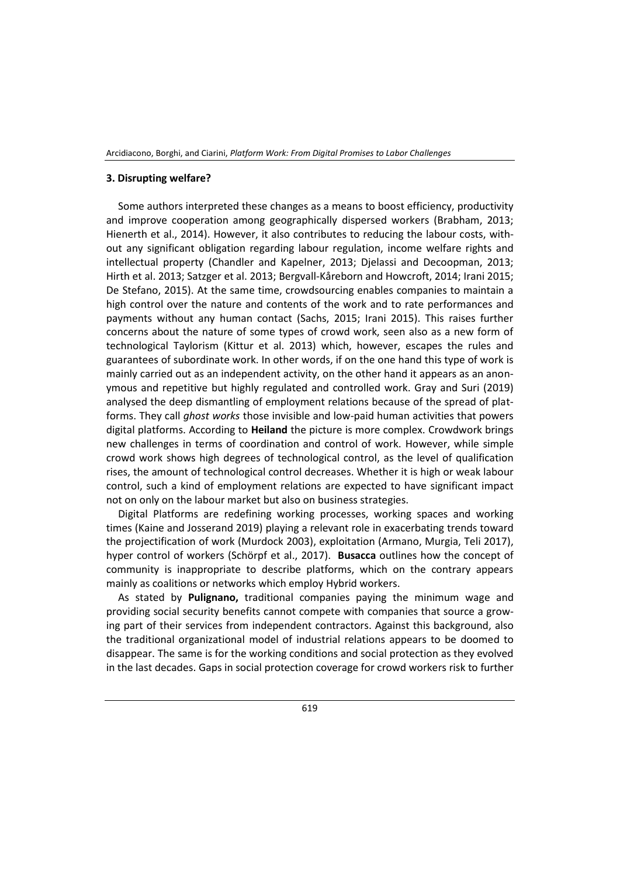Arcidiacono, Borghi, and Ciarini, *Platform Work: From Digital Promises to Labor Challenges*

#### **3. Disrupting welfare?**

Some authors interpreted these changes as a means to boost efficiency, productivity and improve cooperation among geographically dispersed workers (Brabham, 2013; Hienerth et al., 2014). However, it also contributes to reducing the labour costs, without any significant obligation regarding labour regulation, income welfare rights and intellectual property (Chandler and Kapelner, 2013; Djelassi and Decoopman, 2013; Hirth et al. 2013; Satzger et al. 2013; Bergvall-Kåreborn and Howcroft, 2014; Irani 2015; De Stefano, 2015). At the same time, crowdsourcing enables companies to maintain a high control over the nature and contents of the work and to rate performances and payments without any human contact (Sachs, 2015; Irani 2015). This raises further concerns about the nature of some types of crowd work, seen also as a new form of technological Taylorism (Kittur et al. 2013) which, however, escapes the rules and guarantees of subordinate work. In other words, if on the one hand this type of work is mainly carried out as an independent activity, on the other hand it appears as an anonymous and repetitive but highly regulated and controlled work. Gray and Suri (2019) analysed the deep dismantling of employment relations because of the spread of platforms. They call *ghost works* those invisible and low-paid human activities that powers digital platforms. According to **Heiland** the picture is more complex. Crowdwork brings new challenges in terms of coordination and control of work. However, while simple crowd work shows high degrees of technological control, as the level of qualification rises, the amount of technological control decreases. Whether it is high or weak labour control, such a kind of employment relations are expected to have significant impact not on only on the labour market but also on business strategies.

Digital Platforms are redefining working processes, working spaces and working times (Kaine and Josserand 2019) playing a relevant role in exacerbating trends toward the projectification of work (Murdock 2003), exploitation (Armano, Murgia, Teli 2017), hyper control of workers (Schörpf et al., 2017). **Busacca** outlines how the concept of community is inappropriate to describe platforms, which on the contrary appears mainly as coalitions or networks which employ Hybrid workers.

As stated by **Pulignano,** traditional companies paying the minimum wage and providing social security benefits cannot compete with companies that source a growing part of their services from independent contractors. Against this background, also the traditional organizational model of industrial relations appears to be doomed to disappear. The same is for the working conditions and social protection as they evolved in the last decades. Gaps in social protection coverage for crowd workers risk to further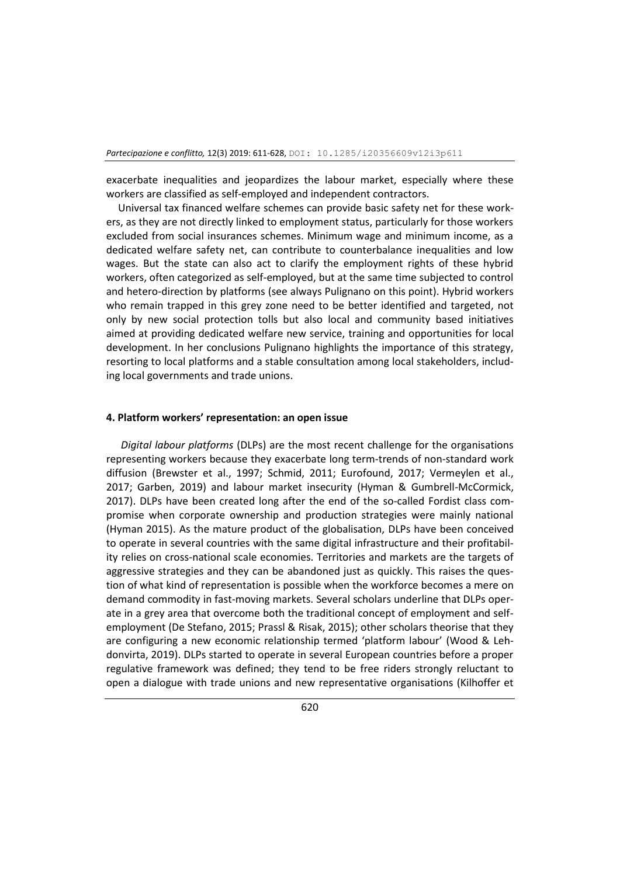exacerbate inequalities and jeopardizes the labour market, especially where these workers are classified as self‐employed and independent contractors.

Universal tax financed welfare schemes can provide basic safety net for these workers, as they are not directly linked to employment status, particularly for those workers excluded from social insurances schemes. Minimum wage and minimum income, as a dedicated welfare safety net, can contribute to counterbalance inequalities and low wages. But the state can also act to clarify the employment rights of these hybrid workers, often categorized as self-employed, but at the same time subjected to control and hetero-direction by platforms (see always Pulignano on this point). Hybrid workers who remain trapped in this grey zone need to be better identified and targeted, not only by new social protection tolls but also local and community based initiatives aimed at providing dedicated welfare new service, training and opportunities for local development. In her conclusions Pulignano highlights the importance of this strategy, resorting to local platforms and a stable consultation among local stakeholders, including local governments and trade unions.

#### **4. Platform workers' representation: an open issue**

*Digital labour platforms* (DLPs) are the most recent challenge for the organisations representing workers because they exacerbate long term-trends of non-standard work diffusion (Brewster et al., 1997; Schmid, 2011; Eurofound, 2017; Vermeylen et al., 2017; Garben, 2019) and labour market insecurity (Hyman & Gumbrell-McCormick, 2017). DLPs have been created long after the end of the so-called Fordist class compromise when corporate ownership and production strategies were mainly national (Hyman 2015). As the mature product of the globalisation, DLPs have been conceived to operate in several countries with the same digital infrastructure and their profitability relies on cross-national scale economies. Territories and markets are the targets of aggressive strategies and they can be abandoned just as quickly. This raises the question of what kind of representation is possible when the workforce becomes a mere on demand commodity in fast-moving markets. Several scholars underline that DLPs operate in a grey area that overcome both the traditional concept of employment and selfemployment (De Stefano, 2015; Prassl & Risak, 2015); other scholars theorise that they are configuring a new economic relationship termed 'platform labour' (Wood & Lehdonvirta, 2019). DLPs started to operate in several European countries before a proper regulative framework was defined; they tend to be free riders strongly reluctant to open a dialogue with trade unions and new representative organisations (Kilhoffer et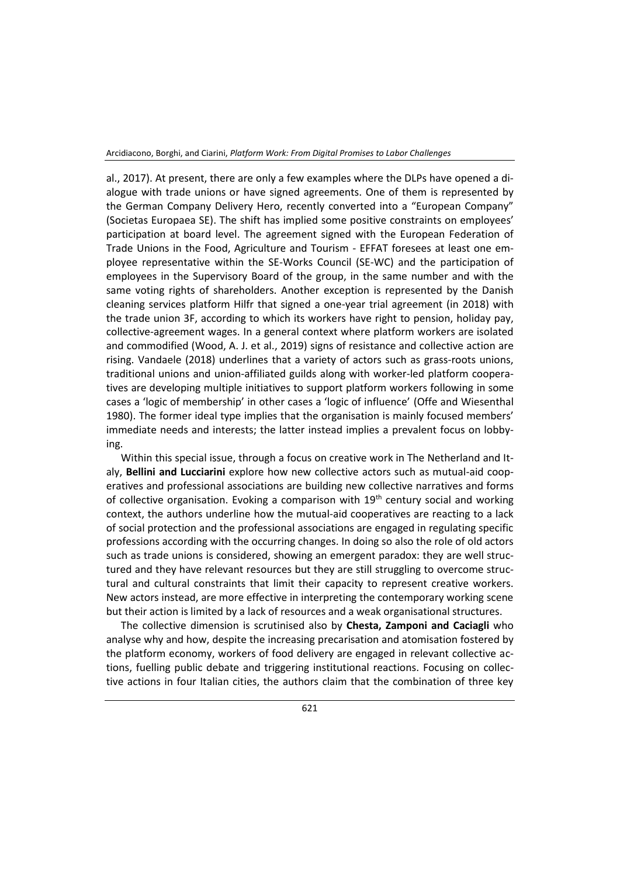al., 2017). At present, there are only a few examples where the DLPs have opened a dialogue with trade unions or have signed agreements. One of them is represented by the German Company Delivery Hero, recently converted into a "European Company" (Societas Europaea SE). The shift has implied some positive constraints on employees' participation at board level. The agreement signed with the European Federation of Trade Unions in the Food, Agriculture and Tourism - EFFAT foresees at least one employee representative within the SE-Works Council (SE-WC) and the participation of employees in the Supervisory Board of the group, in the same number and with the same voting rights of shareholders. Another exception is represented by the Danish cleaning services platform Hilfr that signed a one-year trial agreement (in 2018) with the trade union 3F, according to which its workers have right to pension, holiday pay, collective-agreement wages. In a general context where platform workers are isolated and commodified (Wood, A. J. et al., 2019) signs of resistance and collective action are rising. Vandaele (2018) underlines that a variety of actors such as grass-roots unions, traditional unions and union-affiliated guilds along with worker-led platform cooperatives are developing multiple initiatives to support platform workers following in some cases a 'logic of membership' in other cases a 'logic of influence' (Offe and Wiesenthal 1980). The former ideal type implies that the organisation is mainly focused members' immediate needs and interests; the latter instead implies a prevalent focus on lobbying.

Within this special issue, through a focus on creative work in The Netherland and Italy, **Bellini and Lucciarini** explore how new collective actors such as mutual-aid cooperatives and professional associations are building new collective narratives and forms of collective organisation. Evoking a comparison with  $19<sup>th</sup>$  century social and working context, the authors underline how the mutual-aid cooperatives are reacting to a lack of social protection and the professional associations are engaged in regulating specific professions according with the occurring changes. In doing so also the role of old actors such as trade unions is considered, showing an emergent paradox: they are well structured and they have relevant resources but they are still struggling to overcome structural and cultural constraints that limit their capacity to represent creative workers. New actors instead, are more effective in interpreting the contemporary working scene but their action is limited by a lack of resources and a weak organisational structures.

The collective dimension is scrutinised also by **Chesta, Zamponi and Caciagli** who analyse why and how, despite the increasing precarisation and atomisation fostered by the platform economy, workers of food delivery are engaged in relevant collective actions, fuelling public debate and triggering institutional reactions. Focusing on collective actions in four Italian cities, the authors claim that the combination of three key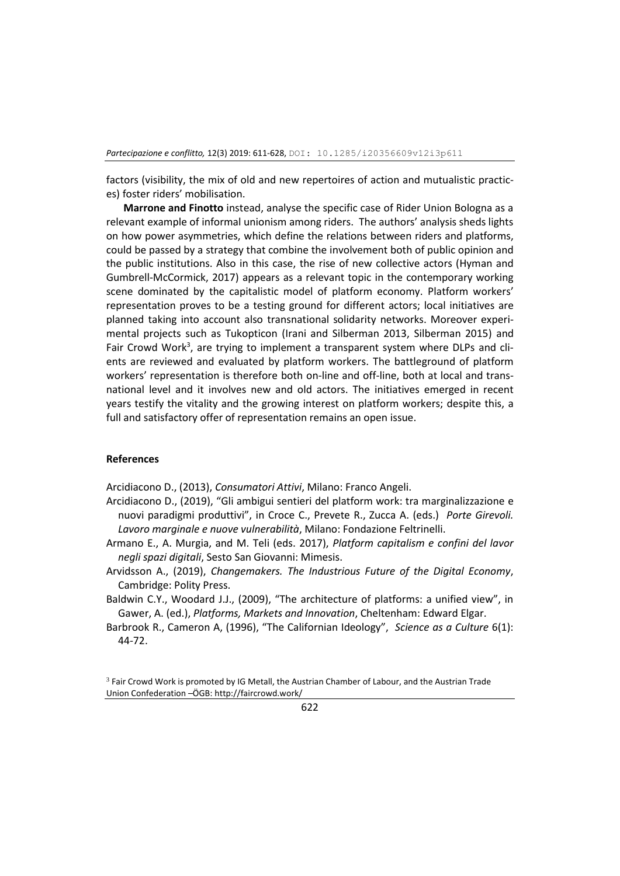factors (visibility, the mix of old and new repertoires of action and mutualistic practices) foster riders' mobilisation.

**Marrone and Finotto** instead, analyse the specific case of Rider Union Bologna as a relevant example of informal unionism among riders. The authors' analysis sheds lights on how power asymmetries, which define the relations between riders and platforms, could be passed by a strategy that combine the involvement both of public opinion and the public institutions. Also in this case, the rise of new collective actors (Hyman and Gumbrell-McCormick, 2017) appears as a relevant topic in the contemporary working scene dominated by the capitalistic model of platform economy. Platform workers' representation proves to be a testing ground for different actors; local initiatives are planned taking into account also transnational solidarity networks. Moreover experimental projects such as Tukopticon (Irani and Silberman 2013, Silberman 2015) and Fair Crowd Work<sup>3</sup>, are trying to implement a transparent system where DLPs and clients are reviewed and evaluated by platform workers. The battleground of platform workers' representation is therefore both on-line and off-line, both at local and transnational level and it involves new and old actors. The initiatives emerged in recent years testify the vitality and the growing interest on platform workers; despite this, a full and satisfactory offer of representation remains an open issue.

#### **References**

Arcidiacono D., (2013), *Consumatori Attivi*, Milano: Franco Angeli.

- Arcidiacono D., (2019), "Gli ambigui sentieri del platform work: tra marginalizzazione e nuovi paradigmi produttivi", in Croce C., Prevete R., Zucca A. (eds.) *Porte Girevoli. Lavoro marginale e nuove vulnerabilità*, Milano: Fondazione Feltrinelli.
- Armano E., A. Murgia, and M. Teli (eds. 2017), *Platform capitalism e confini del lavor negli spazi digitali*, Sesto San Giovanni: Mimesis.
- Arvidsson A., (2019), *Changemakers. The Industrious Future of the Digital Economy*, Cambridge: Polity Press.
- Baldwin C.Y., Woodard J.J., (2009), "The architecture of platforms: a unified view", in Gawer, A. (ed.), *Platforms, Markets and Innovation*, Cheltenham: Edward Elgar.
- Barbrook R., Cameron A, (1996), "The Californian Ideology", *Science as a Culture* 6(1): 44-72.

<sup>&</sup>lt;sup>3</sup> Fair Crowd Work is promoted by IG Metall, the Austrian Chamber of Labour, and the Austrian Trade Union Confederation –ÖGB: http://faircrowd.work/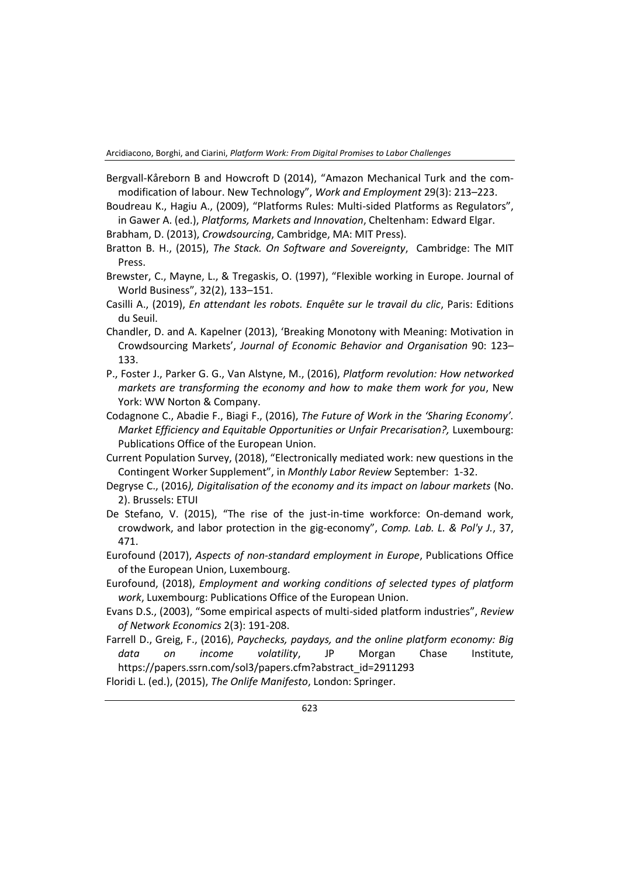Arcidiacono, Borghi, and Ciarini, *Platform Work: From Digital Promises to Labor Challenges*

Bergvall-Kåreborn B and Howcroft D (2014), "Amazon Mechanical Turk and the commodification of labour. New Technology", *Work and Employment* 29(3): 213–223.

Boudreau K., Hagiu A., (2009), "Platforms Rules: Multi-sided Platforms as Regulators", in Gawer A. (ed.), *Platforms, Markets and Innovation*, Cheltenham: Edward Elgar.

Brabham, D. (2013), *Crowdsourcing*, Cambridge, MA: MIT Press).

- Bratton B. H., (2015), *The Stack. On Software and Sovereignty*, Cambridge: The MIT Press.
- Brewster, C., Mayne, L., & Tregaskis, O. (1997), "Flexible working in Europe. Journal of World Business", 32(2), 133–151.
- Casilli A., (2019), *En attendant les robots. Enquête sur le travail du clic*, Paris: Editions du Seuil.
- Chandler, D. and A. Kapelner (2013), 'Breaking Monotony with Meaning: Motivation in Crowdsourcing Markets', *Journal of Economic Behavior and Organisation* 90: 123– 133.
- P., Foster J., Parker G. G., Van Alstyne, M., (2016), *Platform revolution: How networked markets are transforming the economy and how to make them work for you*, New York: WW Norton & Company.
- Codagnone C., Abadie F., Biagi F., (2016), *The Future of Work in the 'Sharing Economy'. Market Efficiency and Equitable Opportunities or Unfair Precarisation?,* Luxembourg: Publications Office of the European Union.
- Current Population Survey, (2018), "Electronically mediated work: new questions in the Contingent Worker Supplement", in *Monthly Labor Review* September: 1-32.
- Degryse C., (2016*), Digitalisation of the economy and its impact on labour markets* (No. 2). Brussels: ETUI
- De Stefano, V. (2015), "The rise of the just-in-time workforce: On-demand work, crowdwork, and labor protection in the gig-economy", *Comp. Lab. L. & Pol'y J.*, 37, 471.
- Eurofound (2017), *Aspects of non-standard employment in Europe*, Publications Office of the European Union, Luxembourg.
- Eurofound, (2018), *Employment and working conditions of selected types of platform work*, Luxembourg: Publications Office of the European Union.
- Evans D.S., (2003), "Some empirical aspects of multi-sided platform industries", *Review of Network Economics* 2(3): 191-208.
- Farrell D., Greig, F., (2016), *Paychecks, paydays, and the online platform economy: Big data on income volatility*, JP Morgan Chase Institute, [https://papers.ssrn.com/sol3/papers.cfm?abstract\\_id=2911293](https://papers.ssrn.com/sol3/papers.cfm?abstract_id=2911293)

Floridi L. (ed.), (2015), *The Onlife Manifesto*, London: Springer.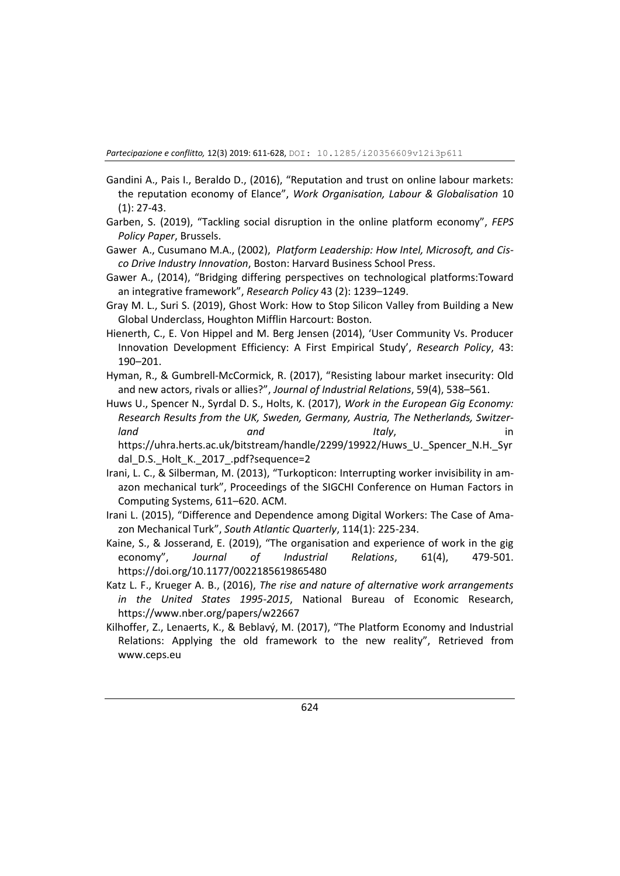- Gandini A., Pais I., Beraldo D., (2016), "Reputation and trust on online labour markets: the reputation economy of Elance", *Work Organisation, Labour & Globalisation* 10 (1): 27-43.
- Garben, S. (2019), "Tackling social disruption in the online platform economy", *FEPS Policy Paper*, Brussels.
- Gawer A., Cusumano M.A., (2002), *Platform Leadership: How Intel, Microsoft, and Cisco Drive Industry Innovation*, Boston: Harvard Business School Press.
- Gawer A., (2014), "Bridging differing perspectives on technological platforms:Toward an integrative framework", *Research Policy* 43 (2): 1239–1249.
- Gray M. L., Suri S. (2019), Ghost Work: How to Stop Silicon Valley from Building a New Global Underclass, Houghton Mifflin Harcourt: Boston.
- Hienerth, C., E. Von Hippel and M. Berg Jensen (2014), 'User Community Vs. Producer Innovation Development Efficiency: A First Empirical Study', *Research Policy*, 43: 190–201.
- Hyman, R., & Gumbrell-McCormick, R. (2017), "Resisting labour market insecurity: Old and new actors, rivals or allies?", *Journal of Industrial Relations*, 59(4), 538–561.

Huws U., Spencer N., Syrdal D. S., Holts, K. (2017), *Work in the European Gig Economy: Research Results from the UK, Sweden, Germany, Austria, The Netherlands, Switzerland* and *and Italy,* in in [https://uhra.herts.ac.uk/bitstream/handle/2299/19922/Huws\\_U.\\_Spencer\\_N.H.\\_Syr](https://uhra.herts.ac.uk/bitstream/handle/2299/19922/Huws_U._Spencer_N.H._Syrdal_D.S._Holt_K._2017_.pdf?sequence=2) [dal\\_D.S.\\_Holt\\_K.\\_2017\\_.pdf?sequence=2](https://uhra.herts.ac.uk/bitstream/handle/2299/19922/Huws_U._Spencer_N.H._Syrdal_D.S._Holt_K._2017_.pdf?sequence=2)

- Irani, L. C., & Silberman, M. (2013), "Turkopticon: Interrupting worker invisibility in amazon mechanical turk", Proceedings of the SIGCHI Conference on Human Factors in Computing Systems, 611–620. ACM.
- Irani L. (2015), "Difference and Dependence among Digital Workers: The Case of Amazon Mechanical Turk", *South Atlantic Quarterly*, 114(1): 225-234.
- Kaine, S., & Josserand, E. (2019), "The organisation and experience of work in the gig economy", *Journal of Industrial Relations*, 61(4), 479-501. https://doi.org/10.1177/0022185619865480
- Katz L. F., Krueger A. B., (2016), *The rise and nature of alternative work arrangements in the United States 1995-2015*, National Bureau of Economic Research, <https://www.nber.org/papers/w22667>
- Kilhoffer, Z., Lenaerts, K., & Beblavý, M. (2017), "The Platform Economy and Industrial Relations: Applying the old framework to the new reality", Retrieved from www.ceps.eu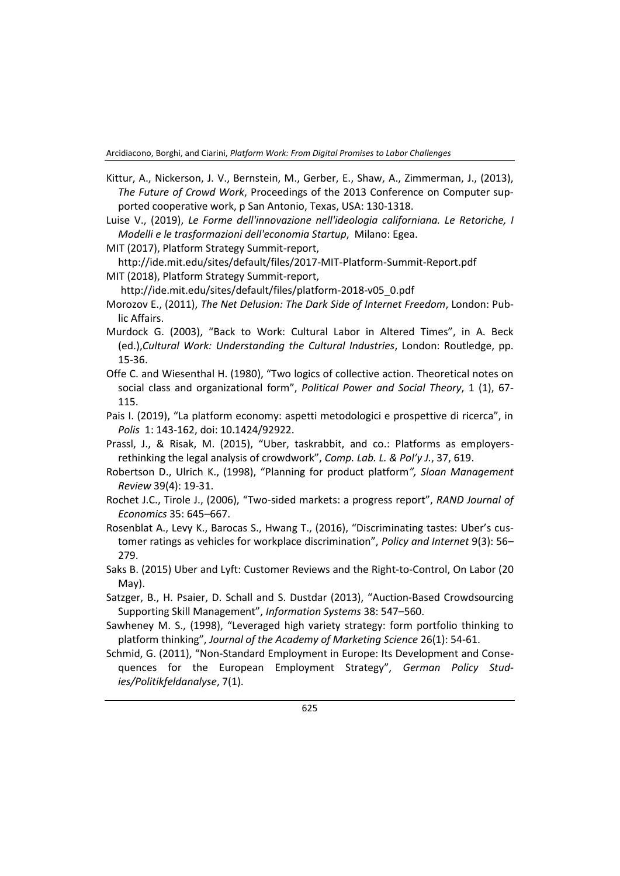- Kittur, A., Nickerson, J. V., Bernstein, M., Gerber, E., Shaw, A., Zimmerman, J., (2013), *The Future of Crowd Work*, Proceedings of the 2013 Conference on Computer supported cooperative work, p San Antonio, Texas, USA: 130-1318.
- Luise V., (2019), *Le Forme dell'innovazione nell'ideologia californiana. Le Retoriche, I Modelli e le trasformazioni dell'economia Startup*, Milano: Egea.
- MIT (2017), Platform Strategy Summit-report,

<http://ide.mit.edu/sites/default/files/2017-MIT-Platform-Summit-Report.pdf> MIT (2018), Platform Strategy Summit-report,

[http://ide.mit.edu/sites/default/files/platform-2018-v05\\_0.pdf](http://ide.mit.edu/sites/default/files/platform-2018-v05_0.pdf)

- Morozov E., (2011), *The Net Delusion: The Dark Side of Internet Freedom*, London: Public Affairs.
- Murdock G. (2003), "Back to Work: Cultural Labor in Altered Times", in A. Beck (ed.),*Cultural Work: Understanding the Cultural Industries*, London: Routledge, pp. 15-36.
- Offe C. and Wiesenthal H. (1980), "Two logics of collective action. Theoretical notes on social class and organizational form", *Political Power and Social Theory*, 1 (1), 67- 115.
- Pais I. (2019), "La platform economy: aspetti metodologici e prospettive di ricerca", in *Polis* 1: 143-162, doi: 10.1424/92922.
- Prassl, J., & Risak, M. (2015), "Uber, taskrabbit, and co.: Platforms as employersrethinking the legal analysis of crowdwork", *Comp. Lab. L. & Pol'y J.*, 37, 619.
- Robertson D., Ulrich K., (1998), "Planning for product platform*", Sloan Management Review* 39(4): 19-31.
- Rochet J.C., Tirole J., (2006), "Two-sided markets: a progress report", *RAND Journal of Economics* 35: 645–667.
- Rosenblat A., Levy K., Barocas S., Hwang T., (2016), "Discriminating tastes: Uber's customer ratings as vehicles for workplace discrimination", *Policy and Internet* 9(3): 56– 279.
- Saks B. (2015) Uber and Lyft: Customer Reviews and the Right-to-Control, On Labor (20 May).
- Satzger, B., H. Psaier, D. Schall and S. Dustdar (2013), "Auction-Based Crowdsourcing Supporting Skill Management", *Information Systems* 38: 547–560.
- Sawheney M. S., (1998), "Leveraged high variety strategy: form portfolio thinking to platform thinking", *Journal of the Academy of Marketing Science* 26(1): 54-61.
- Schmid, G. (2011), "Non-Standard Employment in Europe: Its Development and Consequences for the European Employment Strategy", *German Policy Studies/Politikfeldanalyse*, 7(1).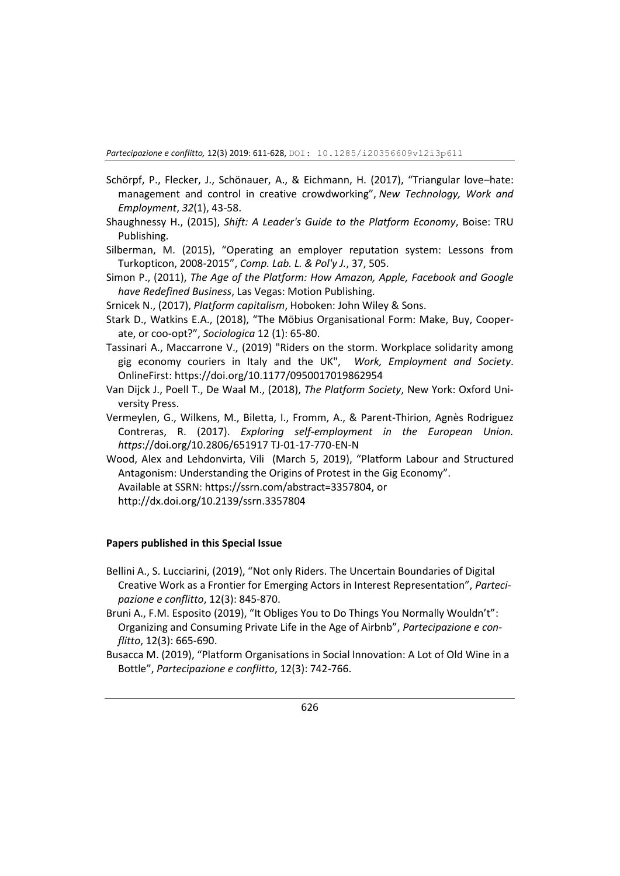- Schörpf, P., Flecker, J., Schönauer, A., & Eichmann, H. (2017), "Triangular love–hate: management and control in creative crowdworking", *New Technology, Work and Employment*, *32*(1), 43-58.
- Shaughnessy H., (2015), *Shift: A Leader's Guide to the Platform Economy*, Boise: TRU Publishing.
- Silberman, M. (2015), "Operating an employer reputation system: Lessons from Turkopticon, 2008-2015", *Comp. Lab. L. & Pol'y J.*, 37, 505.
- Simon P., (2011), *The Age of the Platform: How Amazon, Apple, Facebook and Google have Redefined Business*, Las Vegas: Motion Publishing.
- Srnicek N., (2017), *Platform capitalism*, Hoboken: John Wiley & Sons.
- Stark D., Watkins E.A., (2018), "The Möbius Organisational Form: Make, Buy, Cooperate, or coo-opt?", *Sociologica* 12 (1): 65-80.
- Tassinari A., Maccarrone V., (2019) "Riders on the storm. Workplace solidarity among gig economy couriers in Italy and the UK", *Work, Employment and Society*. OnlineFirst[: https://doi.org/10.1177/0950017019862954](https://doi.org/10.1177/0950017019862954)
- Van Dijck J., Poell T., De Waal M., (2018), *The Platform Society*, New York: Oxford University Press.
- Vermeylen, G., Wilkens, M., Biletta, I., Fromm, A., & Parent-Thirion, Agnès Rodriguez Contreras, R. (2017). *Exploring self-employment in the European Union. https*://doi.org/10.2806/651917 TJ-01-17-770-EN-N
- Wood, Alex and Lehdonvirta, Vili (March 5, 2019), "Platform Labour and Structured Antagonism: Understanding the Origins of Protest in the Gig Economy". Available at SSRN: https://ssrn.com/abstract=3357804, or http://dx.doi.org/10.2139/ssrn.3357804

#### **Papers published in this Special Issue**

- Bellini A., S. Lucciarini, (2019), "Not only Riders. The Uncertain Boundaries of Digital Creative Work as a Frontier for Emerging Actors in Interest Representation", *Partecipazione e conflitto*, 12(3): 845-870.
- Bruni A., F.M. Esposito (2019), "It Obliges You to Do Things You Normally Wouldn't": Organizing and Consuming Private Life in the Age of Airbnb", *Partecipazione e conflitto*, 12(3): 665-690.
- Busacca M. (2019), "Platform Organisations in Social Innovation: A Lot of Old Wine in a Bottle", *Partecipazione e conflitto*, 12(3): 742-766.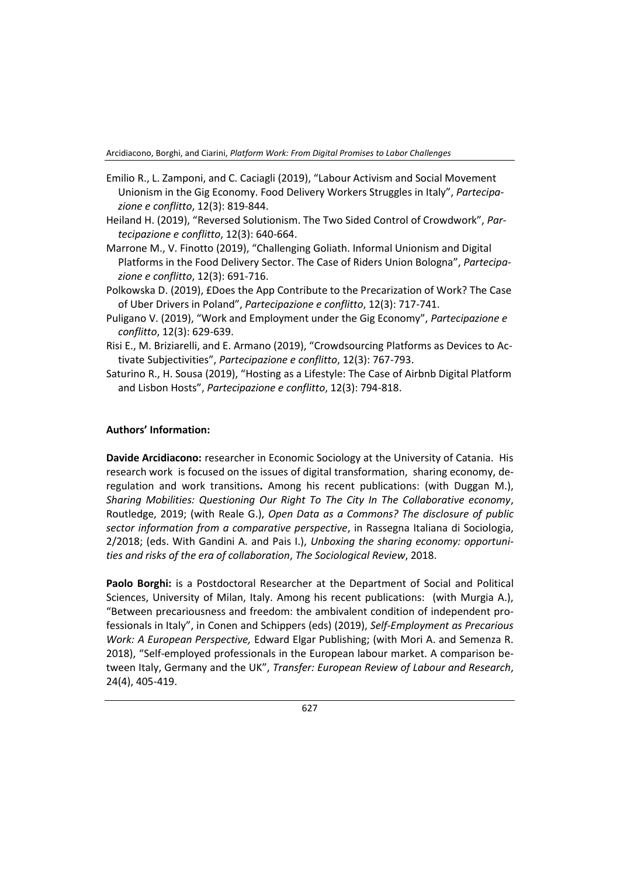Arcidiacono, Borghi, and Ciarini, *Platform Work: From Digital Promises to Labor Challenges*

- Emilio R., L. Zamponi, and C. Caciagli (2019), "Labour Activism and Social Movement Unionism in the Gig Economy. Food Delivery Workers Struggles in Italy", *Partecipazione e conflitto*, 12(3): 819-844.
- Heiland H. (2019), "Reversed Solutionism. The Two Sided Control of Crowdwork", *Partecipazione e conflitto*, 12(3): 640-664.
- Marrone M., V. Finotto (2019), "Challenging Goliath. Informal Unionism and Digital Platforms in the Food Delivery Sector. The Case of Riders Union Bologna", *Partecipazione e conflitto*, 12(3): 691-716.
- Polkowska D. (2019), £Does the App Contribute to the Precarization of Work? The Case of Uber Drivers in Poland", *Partecipazione e conflitto*, 12(3): 717-741.
- Puligano V. (2019), "Work and Employment under the Gig Economy", *Partecipazione e conflitto*, 12(3): 629-639.
- Risi E., M. Briziarelli, and E. Armano (2019), "Crowdsourcing Platforms as Devices to Activate Subjectivities", *Partecipazione e conflitto*, 12(3): 767-793.
- Saturino R., H. Sousa (2019), "Hosting as a Lifestyle: The Case of Airbnb Digital Platform and Lisbon Hosts", *Partecipazione e conflitto*, 12(3): 794-818.

#### **Authors' Information:**

**Davide Arcidiacono:** researcher in Economic Sociology at the University of Catania. His research work is focused on the issues of digital transformation, sharing economy, deregulation and work transitions**.** Among his recent publications: (with Duggan M.), *Sharing Mobilities: Questioning Our Right To The City In The Collaborative economy*, Routledge, 2019; (with Reale G.), *Open Data as a Commons? The disclosure of public sector information from a comparative perspective*, in Rassegna Italiana di Sociologia, 2/2018; (eds. With Gandini A. and Pais I.), *Unboxing the sharing economy: opportunities and risks of the era of collaboration*, *The Sociological Review*, 2018.

**Paolo Borghi:** is a Postdoctoral Researcher at the Department of Social and Political Sciences, University of Milan, Italy. Among his recent publications: (with Murgia A.), "Between precariousness and freedom: the ambivalent condition of independent professionals in Italy", in Conen and Schippers (eds) (2019), *Self-Employment as Precarious Work: A European Perspective,* Edward Elgar Publishing; (with Mori A. and Semenza R. 2018), "Self-employed professionals in the European labour market. A comparison between Italy, Germany and the UK", *Transfer: European Review of Labour and Research*, 24(4), 405-419.